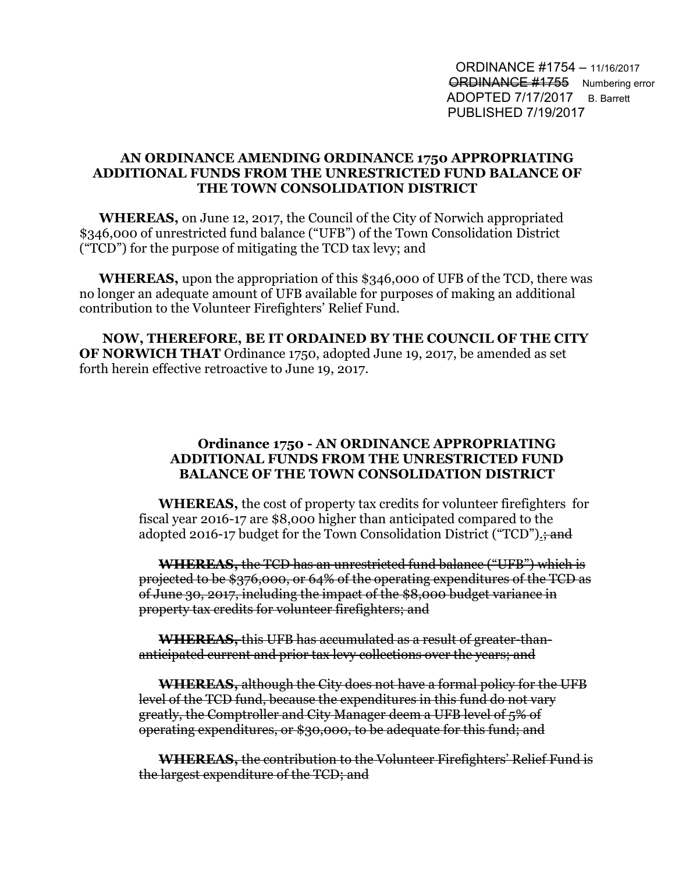ORDINANCE #1754 – 11/16/2017 **ORDINANCE #1755** Numbering error ADOPTED 7/17/2017 B. Barrett PUBLISHED 7/19/2017

## **AN ORDINANCE AMENDING ORDINANCE 1750 APPROPRIATING ADDITIONAL FUNDS FROM THE UNRESTRICTED FUND BALANCE OF THE TOWN CONSOLIDATION DISTRICT**

**WHEREAS,** on June 12, 2017, the Council of the City of Norwich appropriated \$346,000 of unrestricted fund balance ("UFB") of the Town Consolidation District ("TCD") for the purpose of mitigating the TCD tax levy; and

**WHEREAS,** upon the appropriation of this \$346,000 of UFB of the TCD, there was no longer an adequate amount of UFB available for purposes of making an additional contribution to the Volunteer Firefighters' Relief Fund.

 **NOW, THEREFORE, BE IT ORDAINED BY THE COUNCIL OF THE CITY OF NORWICH THAT** Ordinance 1750, adopted June 19, 2017, be amended as set forth herein effective retroactive to June 19, 2017.

## **Ordinance 1750 - AN ORDINANCE APPROPRIATING ADDITIONAL FUNDS FROM THE UNRESTRICTED FUND BALANCE OF THE TOWN CONSOLIDATION DISTRICT**

**WHEREAS,** the cost of property tax credits for volunteer firefighters for fiscal year 2016-17 are \$8,000 higher than anticipated compared to the adopted 2016-17 budget for the Town Consolidation District ("TCD").

**WHEREAS,** the TCD has an unrestricted fund balance ("UFB") which is projected to be \$376,000, or 64% of the operating expenditures of the TCD as of June 30, 2017, including the impact of the \$8,000 budget variance in property tax credits for volunteer firefighters; and

**WHEREAS,** this UFB has accumulated as a result of greater-thananticipated current and prior tax levy collections over the years; and

**WHEREAS,** although the City does not have a formal policy for the UFB level of the TCD fund, because the expenditures in this fund do not vary greatly, the Comptroller and City Manager deem a UFB level of 5% of operating expenditures, or \$30,000, to be adequate for this fund; and

**WHEREAS,** the contribution to the Volunteer Firefighters' Relief Fund is the largest expenditure of the TCD; and